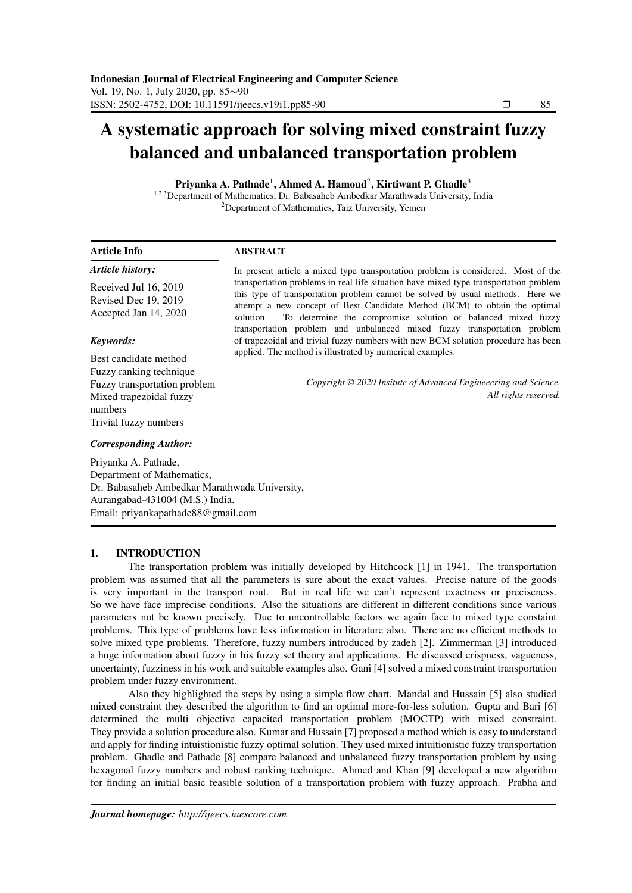# A systematic approach for solving mixed constraint fuzzy balanced and unbalanced transportation problem

Priyanka A. Pathade<sup>1</sup>, Ahmed A. Hamoud<sup>2</sup>, Kirtiwant P. Ghadle<sup>3</sup>

1,2,3Department of Mathematics, Dr. Babasaheb Ambedkar Marathwada University, India  $2$ Department of Mathematics, Taiz University, Yemen

#### Article Info *Article history:* ABSTRACT In present article a mixed type transportation problem is considered. Most of the

Received Jul 16, 2019 Revised Dec 19, 2019 Accepted Jan 14, 2020

### *Keywords:*

Best candidate method Fuzzy ranking technique Fuzzy transportation problem Mixed trapezoidal fuzzy numbers Trivial fuzzy numbers

# transportation problems in real life situation have mixed type transportation problem this type of transportation problem cannot be solved by usual methods. Here we attempt a new concept of Best Candidate Method (BCM) to obtain the optimal solution. To determine the compromise solution of balanced mixed fuzzy transportation problem and unbalanced mixed fuzzy transportation problem of trapezoidal and trivial fuzzy numbers with new BCM solution procedure has been applied. The method is illustrated by numerical examples.

*Copyright © 2020 Insitute of Advanced Engineeering and Science. All rights reserved.*

# *Corresponding Author:*

Priyanka A. Pathade, Department of Mathematics, Dr. Babasaheb Ambedkar Marathwada University, Aurangabad-431004 (M.S.) India. Email: priyankapathade88@gmail.com

#### 1. INTRODUCTION

The transportation problem was initially developed by Hitchcock [1] in 1941. The transportation problem was assumed that all the parameters is sure about the exact values. Precise nature of the goods is very important in the transport rout. But in real life we can't represent exactness or preciseness. So we have face imprecise conditions. Also the situations are different in different conditions since various parameters not be known precisely. Due to uncontrollable factors we again face to mixed type constaint problems. This type of problems have less information in literature also. There are no efficient methods to solve mixed type problems. Therefore, fuzzy numbers introduced by zadeh [2]. Zimmerman [3] introduced a huge information about fuzzy in his fuzzy set theory and applications. He discussed crispness, vagueness, uncertainty, fuzziness in his work and suitable examples also. Gani [4] solved a mixed constraint transportation problem under fuzzy environment.

Also they highlighted the steps by using a simple flow chart. Mandal and Hussain [5] also studied mixed constraint they described the algorithm to find an optimal more-for-less solution. Gupta and Bari [6] determined the multi objective capacited transportation problem (MOCTP) with mixed constraint. They provide a solution procedure also. Kumar and Hussain [7] proposed a method which is easy to understand and apply for finding intuistionistic fuzzy optimal solution. They used mixed intuitionistic fuzzy transportation problem. Ghadle and Pathade [8] compare balanced and unbalanced fuzzy transportation problem by using hexagonal fuzzy numbers and robust ranking technique. Ahmed and Khan [9] developed a new algorithm for finding an initial basic feasible solution of a transportation problem with fuzzy approach. Prabha and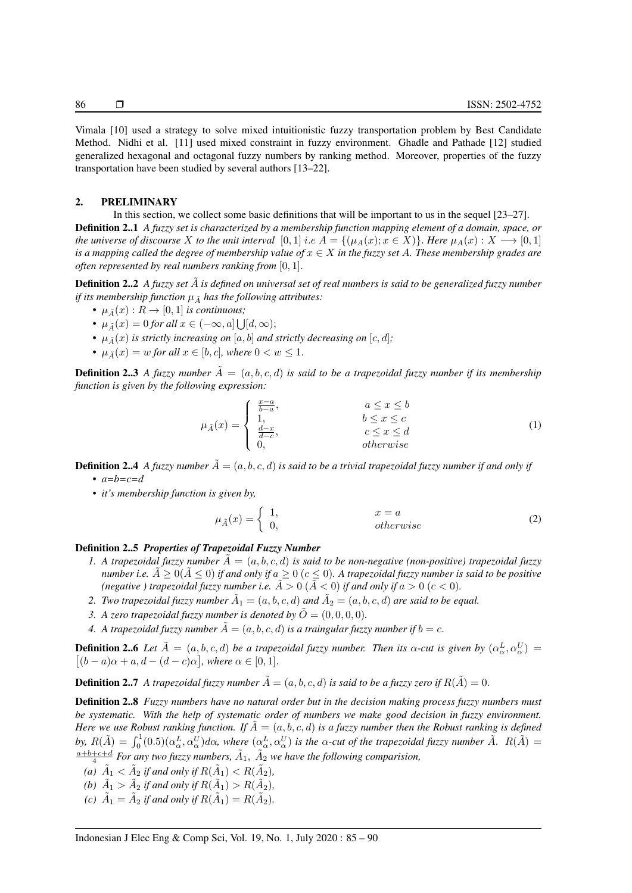Vimala [10] used a strategy to solve mixed intuitionistic fuzzy transportation problem by Best Candidate Method. Nidhi et al. [11] used mixed constraint in fuzzy environment. Ghadle and Pathade [12] studied generalized hexagonal and octagonal fuzzy numbers by ranking method. Moreover, properties of the fuzzy transportation have been studied by several authors [13–22].

### 2. PRELIMINARY

In this section, we collect some basic definitions that will be important to us in the sequel [23–27]. Definition 2..1 *A fuzzy set is characterized by a membership function mapping element of a domain, space, or the universe of discourse* X *to the unit interval* [0, 1] *i.e A* = {( $\mu_A(x); x \in X$ )}. *Here*  $\mu_A(x): X \longrightarrow [0, 1]$ *is a mapping called the degree of membership value of*  $x \in X$  *in the fuzzy set* A. These membership grades are *often represented by real numbers ranking from* [0, 1].

**Definition 2..2** *A fuzzy set*  $\tilde{A}$  *is defined on universal set of real numbers is said to be generalized fuzzy number if its membership function*  $\mu_{\tilde{A}}$  *has the following attributes:* 

- $\mu_{\tilde{A}}(x): R \to [0,1]$  *is continuous;*
- $\mu_{\tilde{A}}(x) = 0$  *for all*  $x \in (-\infty, a] \bigcup [d, \infty)$ ;
- $\mu_{\tilde{A}}(x)$  *is strictly increasing on* [a, b] *and strictly decreasing on* [c, d];
- $\mu_{\tilde{A}}(x) = w$  *for all*  $x \in [b, c]$ *, where*  $0 < w \leq 1$ *.*

**Definition 2..3** *A fuzzy number*  $\tilde{A} = (a, b, c, d)$  *is said to be a trapezoidal fuzzy number if its membership function is given by the following expression:*

$$
\mu_{\tilde{A}}(x) = \begin{cases}\n\frac{x-a}{b-a}, & a \leq x \leq b \\
1, & b \leq x \leq c \\
\frac{d-x}{d-c}, & c \leq x \leq d \\
0, & otherwise\n\end{cases}
$$
\n(1)

**Definition 2..4** *A fuzzy number*  $\tilde{A} = (a, b, c, d)$  *is said to be a trivial trapezoidal fuzzy number if and only if • a=b=c=d*

*• it's membership function is given by,*

$$
\mu_{\tilde{A}}(x) = \begin{cases} 1, & x = a \\ 0, & otherwise \end{cases}
$$
\n(2)

#### Definition 2..5 *Properties of Trapezoidal Fuzzy Number*

- *1. A trapezoidal fuzzy number*  $\dot{A} = (a, b, c, d)$  *is said to be non-negative (non-positive) trapezoidal fuzzy number i.e.*  $\hat{A} \ge 0$  ( $\hat{A} \le 0$ ) *if and only if*  $a \ge 0$  ( $c \le 0$ ). A trapezoidal fuzzy number is said to be positive *(negative ) trapezoidal fuzzy number i.e.*  $\tilde{A} > 0$  ( $\tilde{A} < 0$ ) *if and only if*  $a > 0$  ( $c < 0$ ).
- 2. Two trapezoidal fuzzy number  $\tilde{A}_1 = (a, b, c, d)$  and  $\tilde{A}_2 = (a, b, c, d)$  are said to be equal.
- *3.* A zero trapezoidal fuzzy number is denoted by  $\tilde{O} = (0, 0, 0, 0)$ .
- *4. A trapezoidal fuzzy number*  $\tilde{A} = (a, b, c, d)$  *is a traingular fuzzy number if*  $b = c$ .

**Definition 2..6** Let  $\tilde{A} = (a, b, c, d)$  be a trapezoidal fuzzy number. Then its  $\alpha$ -cut is given by  $(\alpha_{\alpha}^{L}, \alpha_{\alpha}^{U})$  $[(b-a)\alpha+a,d-(d-c)\alpha]$ , where  $\alpha \in [0,1]$ .

**Definition 2..7** A trapezoidal fuzzy number  $\tilde{A} = (a, b, c, d)$  is said to be a fuzzy zero if  $R(\tilde{A}) = 0$ .

Definition 2..8 *Fuzzy numbers have no natural order but in the decision making process fuzzy numbers must be systematic. With the help of systematic order of numbers we make good decision in fuzzy environment. Here we use Robust ranking function. If*  $\tilde{A} = (a, b, c, d)$  *is a fuzzy number then the Robust ranking is defined* by,  $R(\tilde{A}) = \int_0^1 (0.5)(\alpha_{\alpha}^L, \alpha_{\alpha}^U) d\alpha$ , where  $(\alpha_{\alpha}^L, \alpha_{\alpha}^U)$  is the  $\alpha$ -cut of the trapezoidal fuzzy number  $\tilde{A}$ .  $R(\tilde{A}) =$  $\frac{a+b+c+d}{4}$  For any two fuzzy numbers,  $\tilde{A}_1$ ,  $\tilde{A}_2$  we have the following comparision,

(a)  $\tilde{A}_1 < \tilde{A}_2$  if and only if  $R(\tilde{A}_1) < R(\tilde{A}_2)$ ,

*(b)*  $\tilde{A}_1 > \tilde{A}_2$  *if and only if*  $R(\tilde{A}_1) > R(\tilde{A}_2)$ *,* 

(c)  $\tilde{A}_1 = \tilde{A}_2$  *if and only if*  $R(\tilde{A}_1) = R(\tilde{A}_2)$ *.*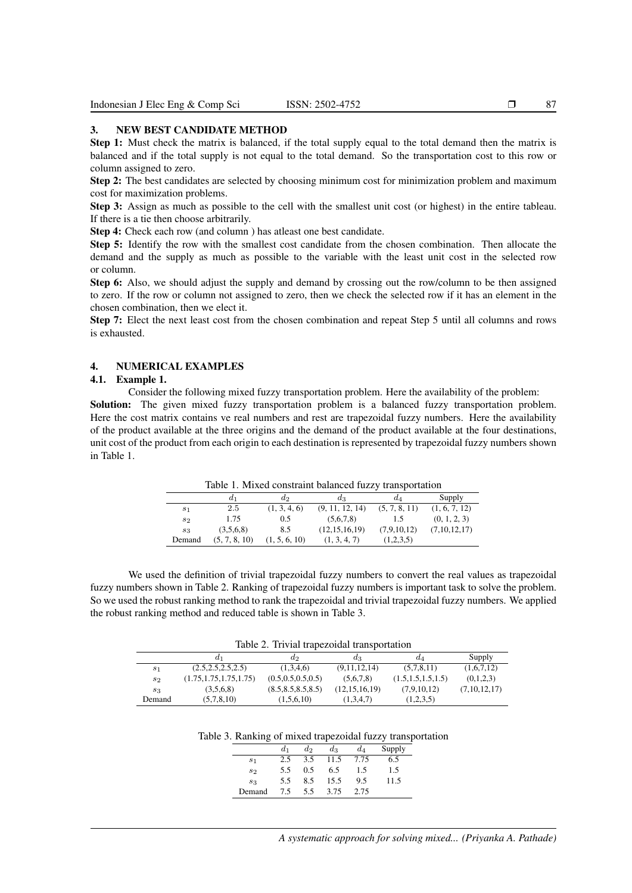#### 3. NEW BEST CANDIDATE METHOD

Step 1: Must check the matrix is balanced, if the total supply equal to the total demand then the matrix is balanced and if the total supply is not equal to the total demand. So the transportation cost to this row or column assigned to zero.

Step 2: The best candidates are selected by choosing minimum cost for minimization problem and maximum cost for maximization problems.

Step 3: Assign as much as possible to the cell with the smallest unit cost (or highest) in the entire tableau. If there is a tie then choose arbitrarily.

Step 4: Check each row (and column ) has atleast one best candidate.

Step 5: Identify the row with the smallest cost candidate from the chosen combination. Then allocate the demand and the supply as much as possible to the variable with the least unit cost in the selected row or column.

Step 6: Also, we should adjust the supply and demand by crossing out the row/column to be then assigned to zero. If the row or column not assigned to zero, then we check the selected row if it has an element in the chosen combination, then we elect it.

Step 7: Elect the next least cost from the chosen combination and repeat Step 5 until all columns and rows is exhausted.

# 4. NUMERICAL EXAMPLES

# 4.1. Example 1.

Consider the following mixed fuzzy transportation problem. Here the availability of the problem: Solution: The given mixed fuzzy transportation problem is a balanced fuzzy transportation problem. Here the cost matrix contains ve real numbers and rest are trapezoidal fuzzy numbers. Here the availability of the product available at the three origins and the demand of the product available at the four destinations, unit cost of the product from each origin to each destination is represented by trapezoidal fuzzy numbers shown in Table 1.

Table 1. Mixed constraint balanced fuzzy transportation

|        | $a_1$         | $d_2$         | $a_3$            | $d_A$         | Supply        |
|--------|---------------|---------------|------------------|---------------|---------------|
| $s_1$  | 2.5           | (1, 3, 4, 6)  | (9, 11, 12, 14)  | (5, 7, 8, 11) | (1, 6, 7, 12) |
| $s_2$  | 1.75          | 0.5           | (5.6.7.8)        | 1.5           | (0, 1, 2, 3)  |
| $s_3$  | (3,5,6,8)     | 8.5           | (12, 15, 16, 19) | (7,9,10,12)   | (7,10,12,17)  |
| Demand | (5, 7, 8, 10) | (1, 5, 6, 10) | (1, 3, 4, 7)     | (1,2,3,5)     |               |

We used the definition of trivial trapezoidal fuzzy numbers to convert the real values as trapezoidal fuzzy numbers shown in Table 2. Ranking of trapezoidal fuzzy numbers is important task to solve the problem. So we used the robust ranking method to rank the trapezoidal and trivial trapezoidal fuzzy numbers. We applied the robust ranking method and reduced table is shown in Table 3.

Table 2. Trivial trapezoidal transportation

|        | a1                       | a2                   | $a_3$            | $a_4$                | Supply       |
|--------|--------------------------|----------------------|------------------|----------------------|--------------|
| $s_1$  | (2.5, 2.5, 2.5, 2.5)     | (1,3,4,6)            | (9,11,12,14)     | (5,7,8,11)           | (1,6,7,12)   |
| $s_2$  | (1.75, 1.75, 1.75, 1.75) | (0.5, 0.5, 0.5, 0.5) | (5.6.7.8)        | (1.5, 1.5, 1.5, 1.5) | (0,1,2,3)    |
| $s_3$  | (3.5.6.8)                | (8.5, 8.5, 8.5, 8.5) | (12, 15, 16, 19) | (7,9,10,12)          | (7,10,12,17) |
| Demand | (5,7,8,10)               | (1,5,6,10)           | (1,3,4,7)        | (1,2,3,5)            |              |

Table 3. Ranking of mixed trapezoidal fuzzy transportation

|                | $d_1$ | $d_2$ | $d_3$ | $d_4$ | Supply |
|----------------|-------|-------|-------|-------|--------|
| S <sub>1</sub> | 2.5   | 3.5   | 11.5  | 7.75  | 6.5    |
| $s_2$          | 5.5   | 0.5   | 6.5   | 1.5   | 1.5    |
| $s_3$          | 5.5   | 8.5   | 15.5  | 9.5   | 11.5   |
| Demand         | 7.5   | 5.5   | 3.75  | 2.75  |        |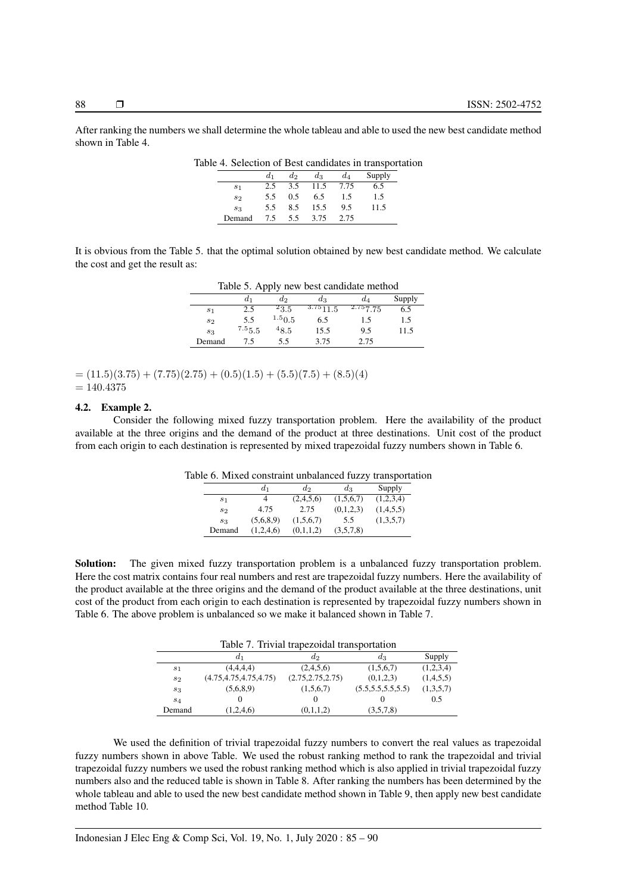After ranking the numbers we shall determine the whole tableau and able to used the new best candidate method shown in Table 4.

| AC +. SCICCHON OF DEST Candidates in transporta |       |       |       |       |        |  |
|-------------------------------------------------|-------|-------|-------|-------|--------|--|
|                                                 | $d_1$ | $d_2$ | $d_3$ | $d_4$ | Supply |  |
| S <sub>1</sub>                                  | 2.5   | 3.5   | 11.5  | 7.75  | 6.5    |  |
| S <sub>2</sub>                                  | 5.5   | 0.5   | 6.5   | 1.5   | 1.5    |  |
| $s_3$                                           | 5.5   | 8.5   | 15.5  | 9.5   | 11.5   |  |
| Demand                                          | 7.5   | 5.5   | 3.75  | 2.75  |        |  |
|                                                 |       |       |       |       |        |  |

Table 4. Selection of Best candidates in transportation

It is obvious from the Table 5. that the optimal solution obtained by new best candidate method. We calculate the cost and get the result as:

| Table 5. Apply new best candidate method |        |           |               |          |        |  |  |
|------------------------------------------|--------|-----------|---------------|----------|--------|--|--|
|                                          | d1     | $d_2$     | dз            | $d_A$    | Supply |  |  |
| $s_1$                                    | 2.5    | $^{2}3.5$ | $3.75_{11.5}$ | 2.757.75 | 6.5    |  |  |
| s <sub>2</sub>                           | 5.5    | 1.50.5    | 6.5           | 1.5      | 1.5    |  |  |
| $s_3$                                    | 7.55.5 | $^{48.5}$ | 15.5          | 9.5      | 11.5   |  |  |
| Demand                                   | 75     | 5.5       | 3.75          | 2.75     |        |  |  |

 $= (11.5)(3.75) + (7.75)(2.75) + (0.5)(1.5) + (5.5)(7.5) + (8.5)(4)$  $= 140.4375$ 

#### 4.2. Example 2.

Consider the following mixed fuzzy transportation problem. Here the availability of the product available at the three origins and the demand of the product at three destinations. Unit cost of the product from each origin to each destination is represented by mixed trapezoidal fuzzy numbers shown in Table 6.

Table 6. Mixed constraint unbalanced fuzzy transportation

|                | $d_1$     | $d_2$     | $d_3$     | Supply    |
|----------------|-----------|-----------|-----------|-----------|
| s <sub>1</sub> |           | (2,4,5,6) | (1,5,6,7) | (1,2,3,4) |
| $s_2$          | 4.75      | 2.75      | (0,1,2,3) | (1,4,5,5) |
| $s_3$          | (5,6,8,9) | (1,5,6,7) | 5.5       | (1,3,5,7) |
| Demand         | (1,2,4,6) | (0,1,1,2) | (3,5,7,8) |           |

Solution: The given mixed fuzzy transportation problem is a unbalanced fuzzy transportation problem. Here the cost matrix contains four real numbers and rest are trapezoidal fuzzy numbers. Here the availability of the product available at the three origins and the demand of the product available at the three destinations, unit cost of the product from each origin to each destination is represented by trapezoidal fuzzy numbers shown in Table 6. The above problem is unbalanced so we make it balanced shown in Table 7.

Table 7. Trivial trapezoidal transportation

|                | d1                       | $d_2$              | $a_3$                | Supply    |
|----------------|--------------------------|--------------------|----------------------|-----------|
| s <sub>1</sub> | (4,4,4,4)                | (2,4,5,6)          | (1,5,6,7)            | (1,2,3,4) |
| s <sub>2</sub> | (4.75, 4.75, 4.75, 4.75) | (2.75, 2.75, 2.75) | (0,1,2,3)            | (1,4,5,5) |
| $s_3$          | (5,6,8,9)                | (1,5,6,7)          | (5.5, 5.5, 5.5, 5.5) | (1,3,5,7) |
| $s_4$          |                          |                    |                      | 0.5       |
| Demand         | (1,2,4,6)                | (0,1,1,2)          | (3,5,7,8)            |           |

We used the definition of trivial trapezoidal fuzzy numbers to convert the real values as trapezoidal fuzzy numbers shown in above Table. We used the robust ranking method to rank the trapezoidal and trivial trapezoidal fuzzy numbers we used the robust ranking method which is also applied in trivial trapezoidal fuzzy numbers also and the reduced table is shown in Table 8. After ranking the numbers has been determined by the whole tableau and able to used the new best candidate method shown in Table 9, then apply new best candidate method Table 10.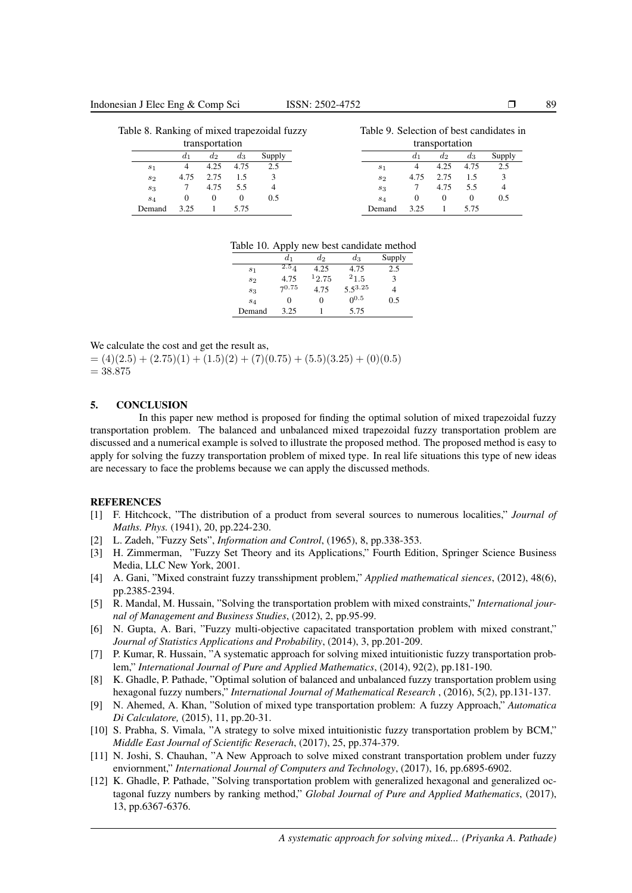| Table 8. Ranking of mixed trapezoidal fuzzy |          |                |          |        | Table 9. Selection of best candidates in |          |                |          |        |
|---------------------------------------------|----------|----------------|----------|--------|------------------------------------------|----------|----------------|----------|--------|
|                                             |          | transportation |          |        |                                          |          | transportation |          |        |
|                                             | $a_1$    | $a_2$          | $a_3$    | Supply |                                          | $a_1$    | $d_2$          | $a_3$    | Supply |
| s <sub>1</sub>                              |          | 4.25           | 4.75     | 2.5    | s <sub>1</sub>                           |          | 4.25           | 4.75     | 2.5    |
| $s_{2}$                                     | 4.75     | 2.75           | 1.5      | 3      | S <sub>2</sub>                           | 4.75     | 2.75           | 1.5      |        |
| $s_3$                                       |          | 4.75           | 5.5      |        | $s_3$                                    |          | 4.75           | 5.5      | 4      |
| $s_4$                                       | $\theta$ | $\theta$       | $\Omega$ | 0.5    | $s_4$                                    | $\theta$ | $\theta$       | $\Omega$ | 0.5    |
| Demand                                      | 3 25     |                | 5.75     |        | Demand                                   | 3.25     |                | 5.75     |        |

|  |  |  |  | Table 10. Apply new best candidate method |  |
|--|--|--|--|-------------------------------------------|--|
|--|--|--|--|-------------------------------------------|--|

|                | d1      | $d_2$ | $d_3$        | Supply |
|----------------|---------|-------|--------------|--------|
| s <sub>1</sub> | $2.5_A$ | 4.25  | 4.75         | 2.5    |
| $s_2$          | 4.75    | 12.75 | $^{21.5}$    |        |
| $s_3$          | 70.75   | 4.75  | $5.5^{3.25}$ |        |
| $s_4$          |         | 0     | $0^{0.5}$    | 0.5    |
| Demand         | 3.25    |       | 5.75         |        |

We calculate the cost and get the result as,

 $= (4)(2.5) + (2.75)(1) + (1.5)(2) + (7)(0.75) + (5.5)(3.25) + (0)(0.5)$  $= 38.875$ 

## 5. CONCLUSION

In this paper new method is proposed for finding the optimal solution of mixed trapezoidal fuzzy transportation problem. The balanced and unbalanced mixed trapezoidal fuzzy transportation problem are discussed and a numerical example is solved to illustrate the proposed method. The proposed method is easy to apply for solving the fuzzy transportation problem of mixed type. In real life situations this type of new ideas are necessary to face the problems because we can apply the discussed methods.

#### **REFERENCES**

- [1] F. Hitchcock, "The distribution of a product from several sources to numerous localities," *Journal of Maths. Phys.* (1941), 20, pp.224-230.
- [2] L. Zadeh, "Fuzzy Sets", *Information and Control*, (1965), 8, pp.338-353.
- [3] H. Zimmerman, "Fuzzy Set Theory and its Applications," Fourth Edition, Springer Science Business Media, LLC New York, 2001.
- [4] A. Gani, "Mixed constraint fuzzy transshipment problem," *Applied mathematical siences*, (2012), 48(6), pp.2385-2394.
- [5] R. Mandal, M. Hussain, "Solving the transportation problem with mixed constraints," *International journal of Management and Business Studies*, (2012), 2, pp.95-99.
- [6] N. Gupta, A. Bari, "Fuzzy multi-objective capacitated transportation problem with mixed constrant," *Journal of Statistics Applications and Probability*, (2014), 3, pp.201-209.
- [7] P. Kumar, R. Hussain, "A systematic approach for solving mixed intuitionistic fuzzy transportation problem," *International Journal of Pure and Applied Mathematics*, (2014), 92(2), pp.181-190.
- [8] K. Ghadle, P. Pathade, "Optimal solution of balanced and unbalanced fuzzy transportation problem using hexagonal fuzzy numbers," *International Journal of Mathematical Research* , (2016), 5(2), pp.131-137.
- [9] N. Ahemed, A. Khan, "Solution of mixed type transportation problem: A fuzzy Approach," *Automatica Di Calculatore,* (2015), 11, pp.20-31.
- [10] S. Prabha, S. Vimala, "A strategy to solve mixed intuitionistic fuzzy transportation problem by BCM," *Middle East Journal of Scientific Reserach*, (2017), 25, pp.374-379.
- [11] N. Joshi, S. Chauhan, "A New Approach to solve mixed constrant transportation problem under fuzzy enviornment," *International Journal of Computers and Technology*, (2017), 16, pp.6895-6902.
- [12] K. Ghadle, P. Pathade, "Solving transportation problem with generalized hexagonal and generalized octagonal fuzzy numbers by ranking method," *Global Journal of Pure and Applied Mathematics*, (2017), 13, pp.6367-6376.